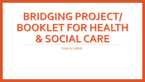# BRIDGING PROJECT/ BOOKLET FOR HEALTH & SOCIAL CARE

Slide for SMHK.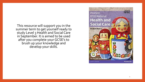This resource will support you in the summer term to get yourself ready to study Level 3 Health and Social Care in September. It is aimed to be used after you complete your GCSE's to brush up your knowledge and develop your skills.

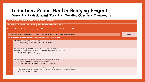#### **Induction: Public Health Bridging Project** (**Week 1 – 2) Assignment Task 1 - Tackling Obesity – Change4Life**

| Pass: Explain the how Change4Life uses technology to help to tackle obesity in the UK.                      |                                                                                                                                                                                                                                                                |                            |  |
|-------------------------------------------------------------------------------------------------------------|----------------------------------------------------------------------------------------------------------------------------------------------------------------------------------------------------------------------------------------------------------------|----------------------------|--|
| Merit: Analyse how successful these technologies could be in tackling obesity in the UK.                    |                                                                                                                                                                                                                                                                |                            |  |
| Distinction: Evaluate the effectiveness of a range of different technologies on tackling obesity in the UK. |                                                                                                                                                                                                                                                                |                            |  |
|                                                                                                             | Ensure that you have the correct Unit Name, Course title, Name and Page numbers in the Header                                                                                                                                                                  | Completed<br>(self-assess) |  |
| Assignment Task 1 -: How the use of apps and technologies help to tackle obesity                            |                                                                                                                                                                                                                                                                |                            |  |
| P.                                                                                                          | Summarise what Change4Life is, must include;<br>Definition of what Chnage4Life is and when it was introduced<br>Summarise how Chnage4Life tries to tackle obesity                                                                                              |                            |  |
| P.                                                                                                          | Choosing either the Sugar Smart App OR Drink Aware App complete the following<br>Explain how the Change4Life app aims to educate individuals to tackle obesity, must include;<br>What the app is and how it works<br>How it educates individuals about obesity |                            |  |
| M                                                                                                           | Analyse how successful you believe the app has been in tackling obesity, must include;<br>At least 2 possible benefits of the app in reducing obesity<br>At least 2 possible limitations the app may have in reducing obesity                                  |                            |  |
| D.                                                                                                          | Evaluate how effective you consider other apps or technologies to have been in tackling obesity in the UK;<br>Compare with other health technologies and use examples from the internet to illustrate the points you make<br>SWOT - 2 points under each factor |                            |  |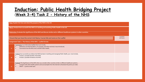### **Induction: Public Health Bridging Project** (**Week 3-4) Task 2 - History of the NHS**

| Pass: Explain the how and what the purpose of the NHS in the UK.                                                              |                                                                                                                                                                                                                                                         |                            |  |
|-------------------------------------------------------------------------------------------------------------------------------|---------------------------------------------------------------------------------------------------------------------------------------------------------------------------------------------------------------------------------------------------------|----------------------------|--|
| Merit: Analyse how successful the NHS is in tackling and assisting Public Health in the UK.                                   |                                                                                                                                                                                                                                                         |                            |  |
| Distinction: Evaluate the significance of the NHS and discuss similar and or different healthcare systems in other countries. |                                                                                                                                                                                                                                                         |                            |  |
| Ensure that you have the correct Unit Name, Course title and name on the Leaflet                                              |                                                                                                                                                                                                                                                         | Completed<br>(self-assess) |  |
| Assignment Task 2 : The History of the NHS - Leaflet format.                                                                  |                                                                                                                                                                                                                                                         |                            |  |
| Þ                                                                                                                             | Summarise in an informative leaflet that must include;<br>Definitions of what the NHS is, it's purpose, and when and why it was introduced,<br>$\bullet$<br>Summarise how the NHS tries to tackle Public Health,                                        |                            |  |
| M                                                                                                                             | Analyse how successful you believe the NHS has been in tackling and managing Public Health, you must include;<br>At least 2 possible benefits of the NHS.<br>$\bullet$<br>At least 2 possible limitations the NHS.                                      |                            |  |
| D                                                                                                                             | Evaluate The Significance of the NHS when you consider other countries similar or different healthcare systems;<br>Compare with other health systems and use examples from the internet to illustrate the points you make.<br>SWOT-2 points under each. |                            |  |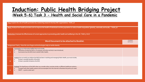## **Induction: Public Health Bridging Project** (**Week 5-6) Task 3 - Health and Social Care in a Pandemic**

**Pass: Explain the role of health promoters by conducting research into key HSC organisations. TASK 3 A Merit: Analyse how health promoters aim to improve the health of individuals and the population to reduce health inequalities' globally, nationally and locally. – TASK 3 B Distinction: Evaluate the Effectiveness of current approaches to promoting public health and wellbeing in the UK. TASK 3 C & D Word Document to be attached to Booklet. Completed Completed Completed Completed Completed Completed Completed** (self-assess) **Assignment Task 3 : How the use of apps and technologies help to tackle obesity P** Summarise in an informative leaflet that must include; • Definitions of what the NHS is, it's purpose, and when and why it was introduced, • Summarise how the NHS tries to tackle Public Health, **M** Analyse how successful you believe the NHS has been in tackling and managing Public Health, you must include; At least 2 possible benefits of the NHS. At least 2 possible limitations the NHS. **D** Evaluate The Significance of the NHS when you consider other countries similar or different healthcare systems ; • Compare with other health systems and use examples from the internet to illustrate the points you make. • SWOT – 2 points under each.